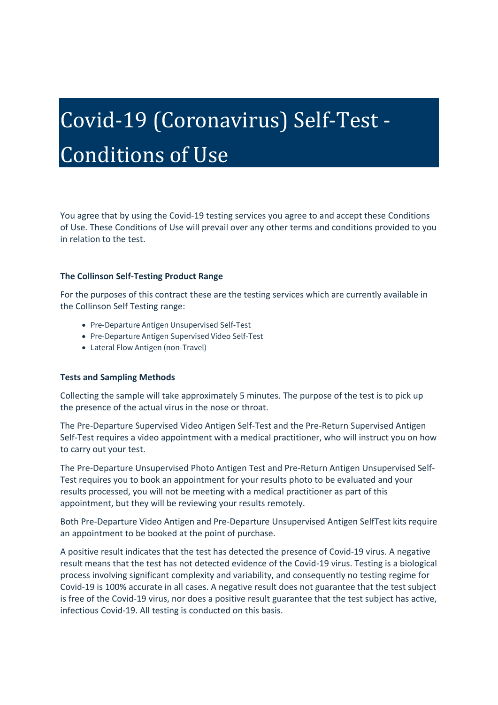# Covid-19 (Coronavirus) Self-Test - Conditions of Use

You agree that by using the Covid-19 testing services you agree to and accept these Conditions of Use. These Conditions of Use will prevail over any other terms and conditions provided to you in relation to the test.

#### **The Collinson Self-Testing Product Range**

For the purposes of this contract these are the testing services which are currently available in the Collinson Self Testing range:

- Pre-Departure Antigen Unsupervised Self-Test
- Pre-Departure Antigen Supervised Video Self-Test
- Lateral Flow Antigen (non-Travel)

#### **Tests and Sampling Methods**

Collecting the sample will take approximately 5 minutes. The purpose of the test is to pick up the presence of the actual virus in the nose or throat.

The Pre-Departure Supervised Video Antigen Self-Test and the Pre-Return Supervised Antigen Self-Test requires a video appointment with a medical practitioner, who will instruct you on how to carry out your test.

The Pre-Departure Unsupervised Photo Antigen Test and Pre-Return Antigen Unsupervised Self-Test requires you to book an appointment for your results photo to be evaluated and your results processed, you will not be meeting with a medical practitioner as part of this appointment, but they will be reviewing your results remotely.

Both Pre-Departure Video Antigen and Pre-Departure Unsupervised Antigen SelfTest kits require an appointment to be booked at the point of purchase.

A positive result indicates that the test has detected the presence of Covid-19 virus. A negative result means that the test has not detected evidence of the Covid-19 virus. Testing is a biological process involving significant complexity and variability, and consequently no testing regime for Covid-19 is 100% accurate in all cases. A negative result does not guarantee that the test subject is free of the Covid-19 virus, nor does a positive result guarantee that the test subject has active, infectious Covid-19. All testing is conducted on this basis.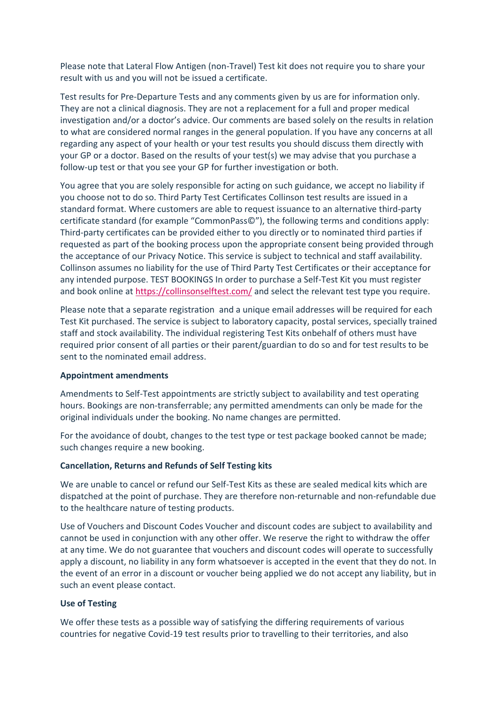Please note that Lateral Flow Antigen (non-Travel) Test kit does not require you to share your result with us and you will not be issued a certificate.

Test results for Pre-Departure Tests and any comments given by us are for information only. They are not a clinical diagnosis. They are not a replacement for a full and proper medical investigation and/or a doctor's advice. Our comments are based solely on the results in relation to what are considered normal ranges in the general population. If you have any concerns at all regarding any aspect of your health or your test results you should discuss them directly with your GP or a doctor. Based on the results of your test(s) we may advise that you purchase a follow-up test or that you see your GP for further investigation or both.

You agree that you are solely responsible for acting on such guidance, we accept no liability if you choose not to do so. Third Party Test Certificates Collinson test results are issued in a standard format. Where customers are able to request issuance to an alternative third-party certificate standard (for example "CommonPass©"), the following terms and conditions apply: Third-party certificates can be provided either to you directly or to nominated third parties if requested as part of the booking process upon the appropriate consent being provided through the acceptance of our Privacy Notice. This service is subject to technical and staff availability. Collinson assumes no liability for the use of Third Party Test Certificates or their acceptance for any intended purpose. TEST BOOKINGS In order to purchase a Self-Test Kit you must register and book online at <https://collinsonselftest.com/> and select the relevant test type you require.

Please note that a separate registration and a unique email addresses will be required for each Test Kit purchased. The service is subject to laboratory capacity, postal services, specially trained staff and stock availability. The individual registering Test Kits onbehalf of others must have required prior consent of all parties or their parent/guardian to do so and for test results to be sent to the nominated email address.

#### **Appointment amendments**

Amendments to Self-Test appointments are strictly subject to availability and test operating hours. Bookings are non-transferrable; any permitted amendments can only be made for the original individuals under the booking. No name changes are permitted.

For the avoidance of doubt, changes to the test type or test package booked cannot be made; such changes require a new booking.

#### **Cancellation, Returns and Refunds of Self Testing kits**

We are unable to cancel or refund our Self-Test Kits as these are sealed medical kits which are dispatched at the point of purchase. They are therefore non-returnable and non-refundable due to the healthcare nature of testing products.

Use of Vouchers and Discount Codes Voucher and discount codes are subject to availability and cannot be used in conjunction with any other offer. We reserve the right to withdraw the offer at any time. We do not guarantee that vouchers and discount codes will operate to successfully apply a discount, no liability in any form whatsoever is accepted in the event that they do not. In the event of an error in a discount or voucher being applied we do not accept any liability, but in such an event please contact.

#### **Use of Testing**

We offer these tests as a possible way of satisfying the differing requirements of various countries for negative Covid-19 test results prior to travelling to their territories, and also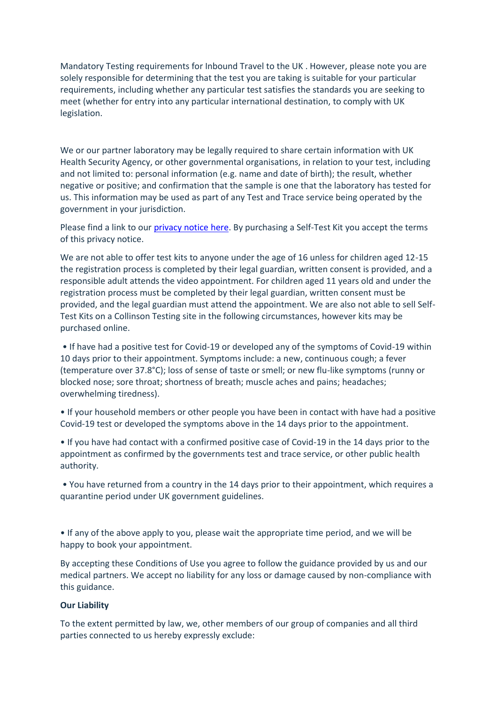Mandatory Testing requirements for Inbound Travel to the UK . However, please note you are solely responsible for determining that the test you are taking is suitable for your particular requirements, including whether any particular test satisfies the standards you are seeking to meet (whether for entry into any particular international destination, to comply with UK legislation.

We or our partner laboratory may be legally required to share certain information with UK Health Security Agency, or other governmental organisations, in relation to your test, including and not limited to: personal information (e.g. name and date of birth); the result, whether negative or positive; and confirmation that the sample is one that the laboratory has tested for us. This information may be used as part of any Test and Trace service being operated by the government in your jurisdiction.

Please find a link to our [privacy notice](https://www.collinsongroup.com/-/media/CG/Privacy%20Notice%20-%20Covid%20Testing%20Consumer%20Help%20Page%2003052022) here. By purchasing a Self-Test Kit you accept the terms of this privacy notice.

We are not able to offer test kits to anyone under the age of 16 unless for children aged 12-15 the registration process is completed by their legal guardian, written consent is provided, and a responsible adult attends the video appointment. For children aged 11 years old and under the registration process must be completed by their legal guardian, written consent must be provided, and the legal guardian must attend the appointment. We are also not able to sell Self-Test Kits on a Collinson Testing site in the following circumstances, however kits may be purchased online.

• If have had a positive test for Covid-19 or developed any of the symptoms of Covid-19 within 10 days prior to their appointment. Symptoms include: a new, continuous cough; a fever (temperature over 37.8°C); loss of sense of taste or smell; or new flu-like symptoms (runny or blocked nose; sore throat; shortness of breath; muscle aches and pains; headaches; overwhelming tiredness).

• If your household members or other people you have been in contact with have had a positive Covid-19 test or developed the symptoms above in the 14 days prior to the appointment.

• If you have had contact with a confirmed positive case of Covid-19 in the 14 days prior to the appointment as confirmed by the governments test and trace service, or other public health authority.

• You have returned from a country in the 14 days prior to their appointment, which requires a quarantine period under UK government guidelines.

• If any of the above apply to you, please wait the appropriate time period, and we will be happy to book your appointment.

By accepting these Conditions of Use you agree to follow the guidance provided by us and our medical partners. We accept no liability for any loss or damage caused by non-compliance with this guidance.

#### **Our Liability**

To the extent permitted by law, we, other members of our group of companies and all third parties connected to us hereby expressly exclude: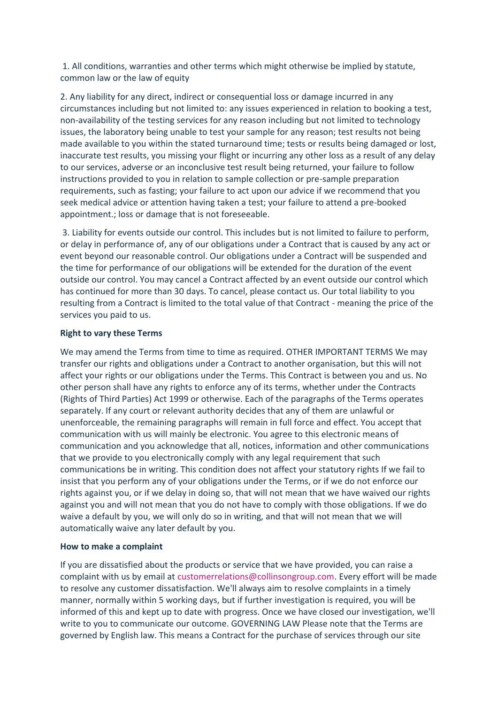1. All conditions, warranties and other terms which might otherwise be implied by statute, common law or the law of equity

2. Any liability for any direct, indirect or consequential loss or damage incurred in any circumstances including but not limited to: any issues experienced in relation to booking a test, non-availability of the testing services for any reason including but not limited to technology issues, the laboratory being unable to test your sample for any reason; test results not being made available to you within the stated turnaround time; tests or results being damaged or lost, inaccurate test results, you missing your flight or incurring any other loss as a result of any delay to our services, adverse or an inconclusive test result being returned, your failure to follow instructions provided to you in relation to sample collection or pre-sample preparation requirements, such as fasting; your failure to act upon our advice if we recommend that you seek medical advice or attention having taken a test; your failure to attend a pre-booked appointment.; loss or damage that is not foreseeable.

3. Liability for events outside our control. This includes but is not limited to failure to perform, or delay in performance of, any of our obligations under a Contract that is caused by any act or event beyond our reasonable control. Our obligations under a Contract will be suspended and the time for performance of our obligations will be extended for the duration of the event outside our control. You may cancel a Contract affected by an event outside our control which has continued for more than 30 days. To cancel, please contact us. Our total liability to you resulting from a Contract is limited to the total value of that Contract - meaning the price of the services you paid to us.

### **Right to vary these Terms**

We may amend the Terms from time to time as required. OTHER IMPORTANT TERMS We may transfer our rights and obligations under a Contract to another organisation, but this will not affect your rights or our obligations under the Terms. This Contract is between you and us. No other person shall have any rights to enforce any of its terms, whether under the Contracts (Rights of Third Parties) Act 1999 or otherwise. Each of the paragraphs of the Terms operates separately. If any court or relevant authority decides that any of them are unlawful or unenforceable, the remaining paragraphs will remain in full force and effect. You accept that communication with us will mainly be electronic. You agree to this electronic means of communication and you acknowledge that all, notices, information and other communications that we provide to you electronically comply with any legal requirement that such communications be in writing. This condition does not affect your statutory rights If we fail to insist that you perform any of your obligations under the Terms, or if we do not enforce our rights against you, or if we delay in doing so, that will not mean that we have waived our rights against you and will not mean that you do not have to comply with those obligations. If we do waive a default by you, we will only do so in writing, and that will not mean that we will automatically waive any later default by you.

## **How to make a complaint**

If you are dissatisfied about the products or service that we have provided, you can raise a complaint with us by email at customerrelations@collinsongroup.com. Every effort will be made to resolve any customer dissatisfaction. We'll always aim to resolve complaints in a timely manner, normally within 5 working days, but if further investigation is required, you will be informed of this and kept up to date with progress. Once we have closed our investigation, we'll write to you to communicate our outcome. GOVERNING LAW Please note that the Terms are governed by English law. This means a Contract for the purchase of services through our site